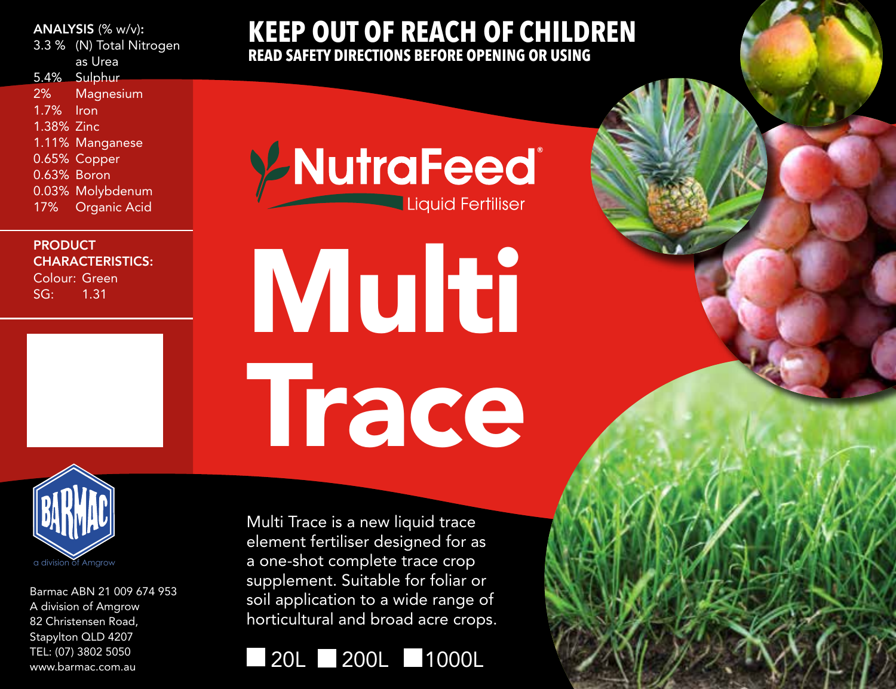## ANALYSIS (% w/v):

3.3 % (N) Total Nitrogen as Urea

5.4% Sulphur 2% Magnesium 1.7% Iron 1.38% Zinc 1.11% Manganese 0.65% Copper 0.63% Boron 0.03% Molybdenum

17% Organic Acid

PRODUCT CHARACTERISTICS: Colour: Green

SG: 1.31



Barmac ABN 21 009 674 953 A division of Amgrow 82 Christensen Road, Stapylton QLD 4207 TEL: (07) 3802 5050 www.barmac.com.au

## **KEEP OUT OF REACH OF CHILDREN READ SAFETY DIRECTIONS BEFORE OPENING OR USING**

**Y-NutraFeed** Liquid Fertiliser

Multi Trace

Multi Trace is a new liquid trace element fertiliser designed for as a one-shot complete trace crop supplement. Suitable for foliar or soil application to a wide range of horticultural and broad acre crops.